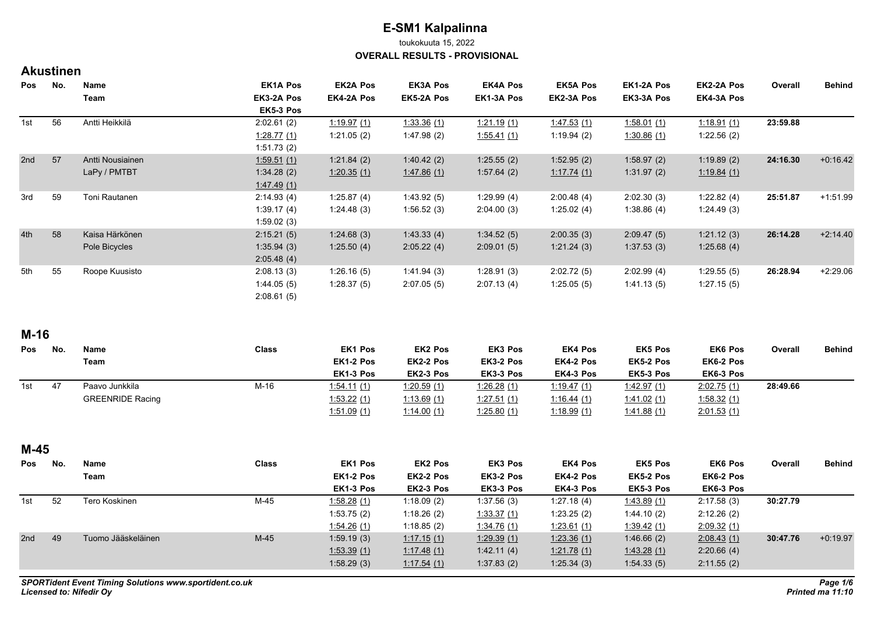toukokuuta 15, 2022

**OVERALL RESULTS - PROVISIONAL**

### **Akustinen**

| Pos | No. | <b>Name</b>      | <b>EK1A Pos</b> | <b>EK2A Pos</b>   | <b>EK3A Pos</b> | <b>EK4A Pos</b> | <b>EK5A Pos</b> | EK1-2A Pos         | <b>EK2-2A Pos</b>  | Overall  | <b>Behind</b> |
|-----|-----|------------------|-----------------|-------------------|-----------------|-----------------|-----------------|--------------------|--------------------|----------|---------------|
|     |     | Team             | EK3-2A Pos      | <b>EK4-2A Pos</b> | EK5-2A Pos      | EK1-3A Pos      | EK2-3A Pos      | EK3-3A Pos         | <b>EK4-3A Pos</b>  |          |               |
|     |     |                  | EK5-3 Pos       |                   |                 |                 |                 |                    |                    |          |               |
| 1st | 56  | Antti Heikkilä   | 2:02.61(2)      | 1:19.97(1)        | 1.33.36(1)      | 1.21.19(1)      | 1.47.53(1)      | <u>1:58.01 (1)</u> | <u>1:18.91 (1)</u> | 23:59.88 |               |
|     |     |                  | 1.28.77(1)      | 1:21.05(2)        | 1.47.98(2)      | 1.55.41(1)      | 1:19.94(2)      | 1.30.86(1)         | 1:22.56(2)         |          |               |
|     |     |                  | 1:51.73(2)      |                   |                 |                 |                 |                    |                    |          |               |
| 2nd | 57  | Antti Nousiainen | 1:59.51(1)      | 1:21.84(2)        | 1.40.42(2)      | 1:25.55(2)      | 1.52.95(2)      | 1:58.97(2)         | 1:19.89(2)         | 24:16.30 | $+0.16.42$    |
|     |     | LaPy / PMTBT     | 1:34.28(2)      | 1:20.35(1)        | 1.47.86(1)      | 1.57.64(2)      | 1:17.74(1)      | 1:31.97(2)         | 1.19.84 (1)        |          |               |
|     |     |                  | 1.47.49(1)      |                   |                 |                 |                 |                    |                    |          |               |
| 3rd | 59  | Toni Rautanen    | 2:14.93(4)      | 1:25.87(4)        | 1.43.92(5)      | 1.29.99(4)      | 2:00.48(4)      | 2:02.30(3)         | 1:22.82(4)         | 25:51.87 | $+1:51.99$    |
|     |     |                  | 1:39.17(4)      | 1.24.48(3)        | 1:56.52(3)      | 2:04.00(3)      | 1:25.02(4)      | 1.38.86(4)         | 1:24.49(3)         |          |               |
|     |     |                  | 1:59.02(3)      |                   |                 |                 |                 |                    |                    |          |               |
| 4th | 58  | Kaisa Härkönen   | 2:15.21(5)      | 1:24.68(3)        | 1:43.33(4)      | 1:34.52(5)      | 2:00.35(3)      | 2:09.47(5)         | 1:21.12(3)         | 26:14.28 | $+2:14.40$    |
|     |     | Pole Bicycles    | 1:35.94(3)      | 1.25.50(4)        | 2:05.22(4)      | 2:09.01(5)      | 1.21.24(3)      | 1:37.53(3)         | 1:25.68(4)         |          |               |
|     |     |                  | 2:05.48(4)      |                   |                 |                 |                 |                    |                    |          |               |
| 5th | 55  | Roope Kuusisto   | 2:08.13(3)      | 1:26.16(5)        | 1.41.94(3)      | 1:28.91(3)      | 2:02.72(5)      | 2:02.99(4)         | 1:29.55(5)         | 26:28.94 | $+2:29.06$    |
|     |     |                  | 1:44.05(5)      | 1.28.37(5)        | 2:07.05(5)      | 2:07.13(4)      | 1:25.05(5)      | 1.41.13(5)         | 1:27.15(5)         |          |               |
|     |     |                  | 2:08.61(5)      |                   |                 |                 |                 |                    |                    |          |               |

### **M-16**

| <b>Pos</b> | No. | <b>Name</b>             | <b>Class</b> | <b>EK1 Pos</b>     | <b>EK2 Pos</b> | <b>EK3 Pos</b>      | <b>EK4 Pos</b>     | <b>EK5 Pos</b>     | <b>EK6 Pos</b> | Overall  | <b>Behind</b> |
|------------|-----|-------------------------|--------------|--------------------|----------------|---------------------|--------------------|--------------------|----------------|----------|---------------|
|            |     | Team                    |              | EK1-2 Pos          | EK2-2 Pos      | EK3-2 Pos           | EK4-2 Pos          | EK5-2 Pos          | EK6-2 Pos      |          |               |
|            |     |                         |              | EK1-3 Pos          | EK2-3 Pos      | EK3-3 Pos           | EK4-3 Pos          | EK5-3 Pos          | EK6-3 Pos      |          |               |
| 1st        | 47  | Paavo Junkkila          | M-16         | <u>1.54.11 (1)</u> | 1.20.59(1)     | <u>1:26.28 (1)</u>  | <u>1:19.47 (1)</u> | <u>1:42.97 (1)</u> | 2.02.75(1)     | 28:49.66 |               |
|            |     | <b>GREENRIDE Racing</b> |              | 1:53.22 (1)        | 1.13.69 (1)    | 1:27.51(1)          | <u>1:16.44 (1)</u> | <u>1.41.02 (1)</u> | 1:58.32(1)     |          |               |
|            |     |                         |              | <u>1:51.09 (1)</u> | 1:14.00(1)     | 1 <u>.25.80 (1)</u> | 1:18.99 (1)        | <u>1.41.88 (1)</u> | 2:01.53(1)     |          |               |

#### **M-45**

| Pos | No. | Name<br>Team       | <b>Class</b> | <b>EK1 Pos</b><br>EK1-2 Pos | <b>EK2 Pos</b><br>EK2-2 Pos | EK3 Pos<br>EK3-2 Pos | <b>EK4 Pos</b><br>EK4-2 Pos | <b>EK5 Pos</b><br>EK5-2 Pos | <b>EK6 Pos</b><br>EK6-2 Pos | Overall  | <b>Behind</b> |
|-----|-----|--------------------|--------------|-----------------------------|-----------------------------|----------------------|-----------------------------|-----------------------------|-----------------------------|----------|---------------|
|     |     |                    |              | EK1-3 Pos                   | EK2-3 Pos                   | EK3-3 Pos            | EK4-3 Pos                   | EK5-3 Pos                   | EK6-3 Pos                   |          |               |
| 1st | 52  | Tero Koskinen      | M-45         | 1.58.28(1)                  | 1:18.09 (2)                 | 1:37.56(3)           | 1.27.18(4)                  | <u>1:43.89 (1)</u>          | 2:17.58(3)                  | 30:27.79 |               |
|     |     |                    |              | 1:53.75(2)                  | 1:18.26(2)                  | 1:33.37(1)           | 1:23.25(2)                  | 1.44.10(2)                  | 2:12.26(2)                  |          |               |
|     |     |                    |              | 1.54.26(1)                  | 1:18.85 (2)                 | <u>1:34.76 (1)</u>   | <u>1.23.61 (1)</u>          | <u>1:39.42 (1)</u>          | 2.09.32 (1)                 |          |               |
| 2nd | 49  | Tuomo Jääskeläinen | $M-45$       | 1:59.19(3)                  | 1.17.15(1)                  | 1:29.39(1)           | 1:23.36(1)                  | 1:46.66(2)                  | 2.08.43(1)                  | 30:47.76 | $+0.19.97$    |
|     |     |                    |              | 1.53.39(1)                  | 1.17.48(1)                  | 1.42.11(4)           | 1.21.78(1)                  | 1.43.28(1)                  | 2:20.66(4)                  |          |               |
|     |     |                    |              | 1:58.29(3)                  | 1.17.54(1)                  | 1:37.83(2)           | 1:25.34(3)                  | 1.54.33(5)                  | 2:11.55(2)                  |          |               |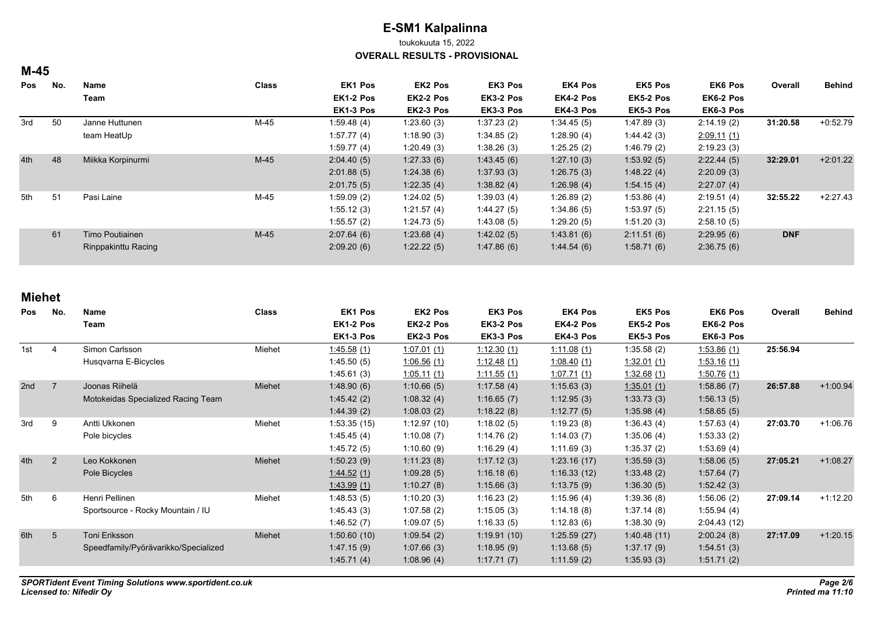toukokuuta 15, 2022

**OVERALL RESULTS - PROVISIONAL**

### **M-45**

| Pos | No. | Name                | <b>Class</b> | <b>EK1 Pos</b> | <b>EK2 Pos</b> | <b>EK3 Pos</b> | <b>EK4 Pos</b> | <b>EK5 Pos</b> | <b>EK6 Pos</b> | Overall    | <b>Behind</b> |
|-----|-----|---------------------|--------------|----------------|----------------|----------------|----------------|----------------|----------------|------------|---------------|
|     |     | Team                |              | EK1-2 Pos      | EK2-2 Pos      | EK3-2 Pos      | EK4-2 Pos      | EK5-2 Pos      | EK6-2 Pos      |            |               |
|     |     |                     |              | EK1-3 Pos      | EK2-3 Pos      | EK3-3 Pos      | EK4-3 Pos      | EK5-3 Pos      | EK6-3 Pos      |            |               |
| 3rd | 50  | Janne Huttunen      | M-45         | 1.59.48(4)     | 1:23.60(3)     | 1:37.23(2)     | 1.34.45(5)     | 1:47.89(3)     | 2:14.19(2)     | 31:20.58   | $+0.52.79$    |
|     |     | team HeatUp         |              | 1:57.77(4)     | 1:18.90(3)     | 1:34.85(2)     | 1:28.90(4)     | 1.44.42(3)     | 2.09.11(1)     |            |               |
|     |     |                     |              | 1:59.77(4)     | 1:20.49(3)     | 1:38.26(3)     | 1:25.25(2)     | 1.46.79(2)     | 2:19.23(3)     |            |               |
| 4th | 48  | Miikka Korpinurmi   | $M-45$       | 2:04.40(5)     | 1:27.33(6)     | 1.43.45(6)     | 1:27.10(3)     | 1:53.92(5)     | 2:22.44(5)     | 32:29.01   | $+2.01.22$    |
|     |     |                     |              | 2:01.88(5)     | 1:24.38(6)     | 1:37.93(3)     | 1:26.75(3)     | 1.48.22(4)     | 2:20.09(3)     |            |               |
|     |     |                     |              | 2:01.75(5)     | 1.22.35(4)     | 1.38.82(4)     | 1:26.98(4)     | 1:54.15(4)     | 2:27.07(4)     |            |               |
| 5th | 51  | Pasi Laine          | M-45         | 1:59.09(2)     | 1:24.02(5)     | 1:39.03(4)     | 1:26.89(2)     | 1:53.86(4)     | 2:19.51(4)     | 32:55.22   | $+2:27.43$    |
|     |     |                     |              | 1:55.12(3)     | 1:21.57(4)     | 1.44.27(5)     | 1.34.86(5)     | 1:53.97(5)     | 2:21.15(5)     |            |               |
|     |     |                     |              | 1:55.57(2)     | 1.24.73(5)     | 1.43.08(5)     | 1:29.20(5)     | 1:51.20(3)     | 2:58.10(5)     |            |               |
|     | 61  | Timo Poutiainen     | $M-45$       | 2:07.64(6)     | 1:23.68(4)     | 1:42.02(5)     | 1.43.81(6)     | 2:11.51(6)     | 2:29.95(6)     | <b>DNF</b> |               |
|     |     | Rinppakinttu Racing |              | 2:09.20(6)     | 1:22.22(5)     | 1.47.86(6)     | 1.44.54(6)     | 1:58.71(6)     | 2.36.75(6)     |            |               |

| <b>Pos</b> | No.             | <b>Name</b><br>Team                  | <b>Class</b> | EK1 Pos<br>EK1-2 Pos | EK2 Pos<br>EK2-2 Pos | EK3 Pos<br>EK3-2 Pos | <b>EK4 Pos</b><br>EK4-2 Pos | EK5 Pos<br>EK5-2 Pos | <b>EK6 Pos</b><br>EK6-2 Pos | Overall  | <b>Behind</b> |
|------------|-----------------|--------------------------------------|--------------|----------------------|----------------------|----------------------|-----------------------------|----------------------|-----------------------------|----------|---------------|
|            |                 |                                      |              | EK1-3 Pos            | EK2-3 Pos            | EK3-3 Pos            | EK4-3 Pos                   | EK5-3 Pos            | EK6-3 Pos                   |          |               |
| 1st        |                 | Simon Carlsson                       | Miehet       | <u>1.45.58 (1)</u>   | 1.07.01(1)           | 1:12.30(1)           | 1.11.08(1)                  | 1.35.58(2)           | 1.53.86(1)                  | 25:56.94 |               |
|            |                 | Husqvarna E-Bicycles                 |              | 1:45.50(5)           | 1.06.56(1)           | 1:12.48(1)           | 1.08.40(1)                  | <u>1.32.01 (1)</u>   | 1:53.16(1)                  |          |               |
|            |                 |                                      |              | 1:45.61(3)           | 1:05.11(1)           | 1.11.55(1)           | 1:07.71(1)                  | 1.32.68(1)           | 1:50.76(1)                  |          |               |
| 2nd        | $\overline{7}$  | Joonas Riihelä                       | Miehet       | 1.48.90(6)           | 1:10.66(5)           | 1:17.58(4)           | 1:15.63(3)                  | 1.35.01(1)           | 1:58.86(7)                  | 26:57.88 | $+1:00.94$    |
|            |                 | Motokeidas Specialized Racing Team   |              | 1.45.42(2)           | 1:08.32(4)           | 1:16.65(7)           | 1:12.95(3)                  | 1:33.73(3)           | 1:56.13(5)                  |          |               |
|            |                 |                                      |              | 1.44.39(2)           | 1:08.03(2)           | 1:18.22(8)           | 1:12.77(5)                  | 1.35.98(4)           | 1:58.65(5)                  |          |               |
| 3rd        | 9               | Antti Ukkonen                        | Miehet       | 1:53.35(15)          | 1:12.97(10)          | 1:18.02(5)           | 1:19.23(8)                  | 1.36.43(4)           | 1:57.63(4)                  | 27:03.70 | $+1:06.76$    |
|            |                 | Pole bicycles                        |              | 1.45.45(4)           | 1:10.08(7)           | 1:14.76(2)           | 1:14.03(7)                  | 1:35.06(4)           | 1:53.33(2)                  |          |               |
|            |                 |                                      |              | 1.45.72(5)           | 1:10.60(9)           | 1:16.29(4)           | 1:11.69(3)                  | 1:35.37(2)           | 1:53.69(4)                  |          |               |
| 4th        | 2               | Leo Kokkonen                         | Miehet       | 1:50.23(9)           | 1:11.23(8)           | 1:17.12(3)           | 1:23.16(17)                 | 1:35.59(3)           | 1:58.06(5)                  | 27:05.21 | $+1:08.27$    |
|            |                 | Pole Bicycles                        |              | 1.44.52(1)           | 1:09.28(5)           | 1:16.18(6)           | 1:16.33(12)                 | 1.33.48(2)           | 1:57.64(7)                  |          |               |
|            |                 |                                      |              | 1.43.99(1)           | 1:10.27(8)           | 1:15.66(3)           | 1:13.75(9)                  | 1.36.30(5)           | 1:52.42(3)                  |          |               |
| 5th        | 6               | Henri Pellinen                       | Miehet       | 1:48.53(5)           | 1:10.20(3)           | 1:16.23(2)           | 1:15.96(4)                  | 1.39.36(8)           | 1:56.06(2)                  | 27:09.14 | $+1:12.20$    |
|            |                 | Sportsource - Rocky Mountain / IU    |              | 1.45.43(3)           | 1:07.58(2)           | 1:15.05(3)           | 1.14.18(8)                  | 1.37.14(8)           | 1:55.94(4)                  |          |               |
|            |                 |                                      |              | 1.46.52(7)           | 1:09.07(5)           | 1:16.33(5)           | 1:12.83(6)                  | 1:38.30(9)           | 2:04.43(12)                 |          |               |
| 6th        | $5\overline{)}$ | Toni Eriksson                        | Miehet       | 1:50.60(10)          | 1:09.54(2)           | 1.19.91(10)          | 1:25.59(27)                 | 1.40.48(11)          | 2:00.24(8)                  | 27:17.09 | $+1:20.15$    |
|            |                 | Speedfamily/Pyörävarikko/Specialized |              | 1.47.15(9)           | 1:07.66(3)           | 1:18.95(9)           | 1:13.68(5)                  | 1:37.17(9)           | 1.54.51(3)                  |          |               |
|            |                 |                                      |              | 1.45.71(4)           | 1:08.96(4)           | 1:17.71(7)           | 1:11.59(2)                  | 1:35.93(3)           | 1.51.71(2)                  |          |               |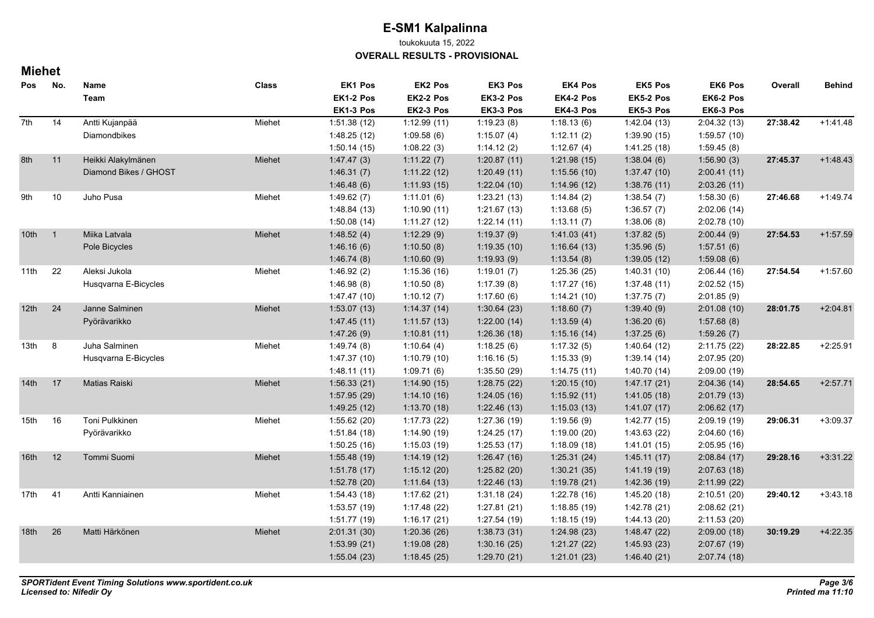toukokuuta 15, 2022

**OVERALL RESULTS - PROVISIONAL**

| Pos              | No.          | Name<br>Team          | <b>Class</b> | EK1 Pos<br>EK1-2 Pos | <b>EK2 Pos</b><br>EK2-2 Pos | EK3 Pos<br>EK3-2 Pos | EK4 Pos<br>EK4-2 Pos | <b>EK5 Pos</b><br>EK5-2 Pos | <b>EK6 Pos</b><br>EK6-2 Pos | Overall  | <b>Behind</b> |
|------------------|--------------|-----------------------|--------------|----------------------|-----------------------------|----------------------|----------------------|-----------------------------|-----------------------------|----------|---------------|
|                  |              |                       |              | EK1-3 Pos            | EK2-3 Pos                   | EK3-3 Pos            | EK4-3 Pos            | EK5-3 Pos                   | EK6-3 Pos                   |          |               |
| 7th              | 14           | Antti Kujanpää        | Miehet       | 1:51.38(12)          | 1:12.99(11)                 | 1:19.23(8)           | 1:18.13(6)           | 1.42.04(13)                 | 2:04.32(13)                 | 27:38.42 | $+1.41.48$    |
|                  |              | Diamondbikes          |              | 1:48.25(12)          | 1:09.58(6)                  | 1:15.07(4)           | 1:12.11(2)           | 1:39.90(15)                 | 1:59.57(10)                 |          |               |
|                  |              |                       |              | 1:50.14(15)          | 1:08.22(3)                  | 1:14.12(2)           | 1:12.67(4)           | 1.41.25(18)                 | 1:59.45(8)                  |          |               |
| 8th              | 11           | Heikki Alakylmänen    | Miehet       | 1.47.47(3)           | 1:11.22(7)                  | 1:20.87(11)          | 1:21.98(15)          | 1:38.04(6)                  | 1:56.90(3)                  | 27:45.37 | $+1.48.43$    |
|                  |              | Diamond Bikes / GHOST |              | 1.46.31(7)           | 1:11.22(12)                 | 1:20.49(11)          | 1:15.56(10)          | 1:37.47(10)                 | 2:00.41(11)                 |          |               |
|                  |              |                       |              | 1.46.48(6)           | 1:11.93(15)                 | 1.22.04(10)          | 1:14.96(12)          | 1:38.76(11)                 | 2:03.26(11)                 |          |               |
| 9th              | 10           | Juho Pusa             | Miehet       | 1.49.62(7)           | 1:11.01(6)                  | 1:23.21(13)          | 1.14.84(2)           | 1:38.54(7)                  | 1:58.30(6)                  | 27:46.68 | $+1.49.74$    |
|                  |              |                       |              | 1:48.84(13)          | 1:10.90(11)                 | 1:21.67(13)          | 1:13.68(5)           | 1:36.57(7)                  | 2:02.06(14)                 |          |               |
|                  |              |                       |              | 1:50.08(14)          | 1:11.27(12)                 | 1.22.14(11)          | 1:13.11(7)           | 1:38.06(8)                  | 2:02.78(10)                 |          |               |
| 10 <sup>th</sup> | $\mathbf{1}$ | Miika Latvala         | Miehet       | 1:48.52(4)           | 1:12.29(9)                  | 1:19.37(9)           | 1.41.03(41)          | 1:37.82(5)                  | 2:00.44(9)                  | 27:54.53 | $+1.57.59$    |
|                  |              | Pole Bicycles         |              | 1.46.16(6)           | 1:10.50(8)                  | 1:19.35(10)          | 1:16.64(13)          | 1:35.96(5)                  | 1:57.51(6)                  |          |               |
|                  |              |                       |              | 1.46.74(8)           | 1:10.60(9)                  | 1:19.93(9)           | 1:13.54(8)           | 1:39.05(12)                 | 1:59.08(6)                  |          |               |
| 11th             | 22           | Aleksi Jukola         | Miehet       | 1:46.92(2)           | 1:15.36(16)                 | 1:19.01(7)           | 1:25.36 (25)         | 1:40.31(10)                 | 2:06.44(16)                 | 27:54.54 | $+1:57.60$    |
|                  |              | Husqvarna E-Bicycles  |              | 1.46.98(8)           | 1:10.50(8)                  | 1:17.39(8)           | 1:17.27(16)          | 1:37.48(11)                 | 2:02.52(15)                 |          |               |
|                  |              |                       |              | 1.47.47(10)          | 1:10.12(7)                  | 1:17.60(6)           | 1:14.21(10)          | 1:37.75(7)                  | 2:01.85(9)                  |          |               |
| 12 <sub>th</sub> | 24           | Janne Salminen        | Miehet       | 1:53.07(13)          | 1:14.37(14)                 | 1:30.64(23)          | 1:18.60(7)           | 1:39.40(9)                  | 2:01.08(10)                 | 28:01.75 | $+2:04.81$    |
|                  |              | Pyörävarikko          |              | 1.47.45(11)          | 1:11.57(13)                 | 1:22.00(14)          | 1:13.59(4)           | 1:36.20(6)                  | 1:57.68(8)                  |          |               |
|                  |              |                       |              | 1.47.26(9)           | 1:10.81(11)                 | 1:26.36(18)          | 1:15.16(14)          | 1:37.25(6)                  | 1:59.26(7)                  |          |               |
| 13th             | 8            | Juha Salminen         | Miehet       | 1.49.74(8)           | 1:10.64(4)                  | 1:18.25(6)           | 1:17.32(5)           | 1:40.64(12)                 | 2:11.75(22)                 | 28:22.85 | $+2:25.91$    |
|                  |              | Husqvarna E-Bicycles  |              | 1:47.37(10)          | 1:10.79(10)                 | 1:16.16(5)           | 1:15.33(9)           | 1:39.14(14)                 | 2:07.95 (20)                |          |               |
|                  |              |                       |              | 1:48.11(11)          | 1:09.71(6)                  | 1:35.50 (29)         | 1:14.75(11)          | 1:40.70(14)                 | 2:09.00 (19)                |          |               |
| 14 <sup>th</sup> | 17           | Matias Raiski         | Miehet       | 1:56.33(21)          | 1:14.90(15)                 | 1:28.75(22)          | 1:20.15(10)          | 1.47.17(21)                 | 2:04.36(14)                 | 28:54.65 | $+2:57.71$    |
|                  |              |                       |              | 1:57.95(29)          | 1:14.10(16)                 | 1:24.05(16)          | 1:15.92(11)          | 1.41.05(18)                 | 2:01.79(13)                 |          |               |
|                  |              |                       |              | 1:49.25(12)          | 1:13.70(18)                 | 1:22.46(13)          | 1:15.03(13)          | 1.41.07(17)                 | 2:06.62(17)                 |          |               |
| 15th             | 16           | Toni Pulkkinen        | Miehet       | 1:55.62(20)          | 1:17.73(22)                 | 1:27.36(19)          | 1:19.56(9)           | 1.42.77(15)                 | 2:09.19(19)                 | 29:06.31 | $+3.09.37$    |
|                  |              | Pyörävarikko          |              | 1:51.84(18)          | 1:14.90(19)                 | 1:24.25(17)          | 1:19.00(20)          | 1:43.63(22)                 | 2:04.60(16)                 |          |               |
|                  |              |                       |              | 1:50.25(16)          | 1:15.03(19)                 | 1:25.53(17)          | 1:18.09(18)          | 1.41.01(15)                 | 2:05.95(16)                 |          |               |
| 16th             | 12           | Tommi Suomi           | Miehet       | 1:55.48(19)          | 1:14.19(12)                 | 1:26.47(16)          | 1:25.31(24)          | 1.45.11(17)                 | 2:08.84(17)                 | 29:28.16 | $+3:31.22$    |
|                  |              |                       |              | 1:51.78(17)          | 1:15.12(20)                 | 1:25.82(20)          | 1:30.21(35)          | 1.41.19(19)                 | 2:07.63(18)                 |          |               |
|                  |              |                       |              | 1:52.78 (20)         | 1:11.64(13)                 | 1:22.46(13)          | 1:19.78(21)          | 1:42.36(19)                 | 2:11.99(22)                 |          |               |
| 17th             | 41           | Antti Kanniainen      | Miehet       | 1:54.43(18)          | 1:17.62(21)                 | 1:31.18(24)          | 1:22.78(16)          | 1:45.20(18)                 | 2:10.51(20)                 | 29:40.12 | $+3.43.18$    |
|                  |              |                       |              | 1:53.57(19)          | 1:17.48(22)                 | 1:27.81 (21)         | 1:18.85(19)          | 1:42.78(21)                 | 2:08.62(21)                 |          |               |
|                  |              |                       |              | 1:51.77(19)          | 1:16.17(21)                 | 1:27.54(19)          | 1:18.15(19)          | 1:44.13 (20)                | 2:11.53(20)                 |          |               |
| 18th             | 26           | Matti Härkönen        | Miehet       | 2:01.31(30)          | 1:20.36(26)                 | 1:38.73(31)          | 1:24.98(23)          | 1:48.47(22)                 | 2:09.00(18)                 | 30:19.29 | $+4:22.35$    |
|                  |              |                       |              | 1:53.99(21)          | 1:19.08(28)                 | 1:30.16(25)          | 1:21.27(22)          | 1:45.93(23)                 | 2:07.67(19)                 |          |               |
|                  |              |                       |              | 1:55.04(23)          | 1:18.45(25)                 | 1:29.70(21)          | 1:21.01(23)          | 1:46.40(21)                 | 2:07.74(18)                 |          |               |
|                  |              |                       |              |                      |                             |                      |                      |                             |                             |          |               |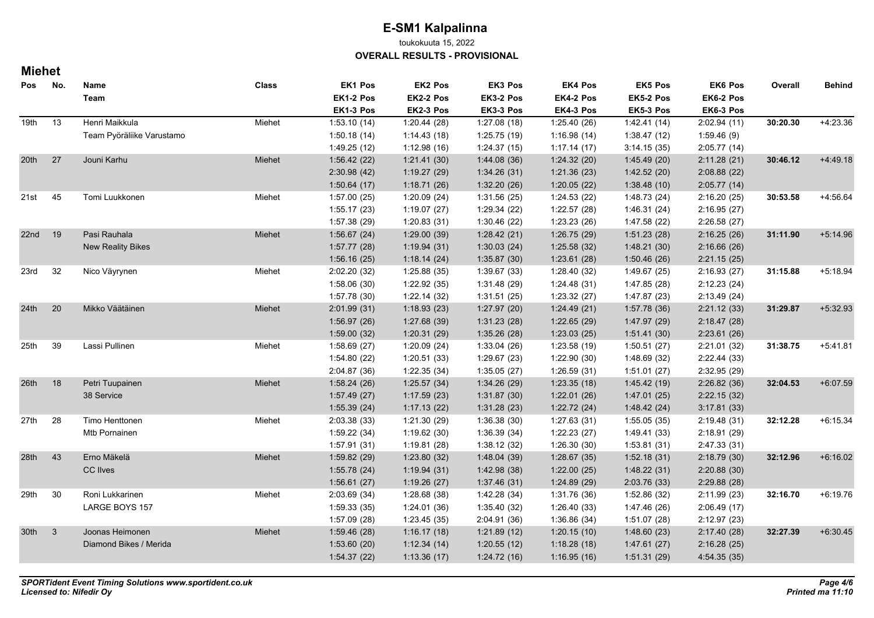toukokuuta 15, 2022

**OVERALL RESULTS - PROVISIONAL**

| Pos              | No. | Name                      | <b>Class</b> | <b>EK1 Pos</b> | EK2 Pos     | EK3 Pos      | <b>EK4 Pos</b> | <b>EK5 Pos</b> | <b>EK6 Pos</b> | Overall  | <b>Behind</b> |
|------------------|-----|---------------------------|--------------|----------------|-------------|--------------|----------------|----------------|----------------|----------|---------------|
|                  |     | Team                      |              | EK1-2 Pos      | EK2-2 Pos   | EK3-2 Pos    | EK4-2 Pos      | EK5-2 Pos      | EK6-2 Pos      |          |               |
|                  |     |                           |              | EK1-3 Pos      | EK2-3 Pos   | EK3-3 Pos    | EK4-3 Pos      | EK5-3 Pos      | EK6-3 Pos      |          |               |
| 19th             | 13  | Henri Maikkula            | Miehet       | 1:53.10(14)    | 1:20.44(28) | 1:27.08(18)  | 1:25.40(26)    | 1.42.41(14)    | 2:02.94(11)    | 30:20.30 | $+4:23.36$    |
|                  |     | Team Pyöräliike Varustamo |              | 1:50.18(14)    | 1:14.43(18) | 1:25.75(19)  | 1:16.98(14)    | 1:38.47(12)    | 1:59.46(9)     |          |               |
|                  |     |                           |              | 1:49.25(12)    | 1:12.98(16) | 1:24.37(15)  | 1:17.14(17)    | 3:14.15(35)    | 2:05.77(14)    |          |               |
| 20 <sup>th</sup> | 27  | Jouni Karhu               | Miehet       | 1:56.42(22)    | 1:21.41(30) | 1.44.08(36)  | 1:24.32(20)    | 1.45.49(20)    | 2:11.28(21)    | 30:46.12 | $+4.49.18$    |
|                  |     |                           |              | 2:30.98(42)    | 1:19.27(29) | 1:34.26(31)  | 1:21.36(23)    | 1:42.52(20)    | 2:08.88(22)    |          |               |
|                  |     |                           |              | 1:50.64(17)    | 1:18.71(26) | 1:32.20(26)  | 1:20.05(22)    | 1:38.48(10)    | 2:05.77(14)    |          |               |
| 21st             | 45  | Tomi Luukkonen            | Miehet       | 1:57.00(25)    | 1:20.09(24) | 1:31.56(25)  | 1:24.53(22)    | 1:48.73(24)    | 2:16.20(25)    | 30:53.58 | $+4.56.64$    |
|                  |     |                           |              | 1:55.17(23)    | 1:19.07(27) | 1:29.34(22)  | 1:22.57(28)    | 1:46.31(24)    | 2:16.95(27)    |          |               |
|                  |     |                           |              | 1:57.38 (29)   | 1:20.83(31) | 1:30.46 (22) | 1:23.23(26)    | 1:47.58 (22)   | 2:26.58(27)    |          |               |
| 22nd             | 19  | Pasi Rauhala              | Miehet       | 1:56.67(24)    | 1:29.00(39) | 1:28.42(21)  | 1:26.75(29)    | 1:51.23(28)    | 2:16.25(26)    | 31:11.90 | $+5:14.96$    |
|                  |     | <b>New Reality Bikes</b>  |              | 1:57.77(28)    | 1:19.94(31) | 1:30.03(24)  | 1:25.58(32)    | 1:48.21(30)    | 2:16.66(26)    |          |               |
|                  |     |                           |              | 1:56.16(25)    | 1:18.14(24) | 1:35.87(30)  | 1:23.61(28)    | 1:50.46(26)    | 2.21.15(25)    |          |               |
| 23rd             | 32  | Nico Väyrynen             | Miehet       | 2:02.20 (32)   | 1:25.88(35) | 1:39.67(33)  | 1:28.40 (32)   | 1:49.67(25)    | 2:16.93(27)    | 31:15.88 | $+5.18.94$    |
|                  |     |                           |              | 1:58.06(30)    | 1:22.92(35) | 1:31.48(29)  | 1:24.48(31)    | 1:47.85(28)    | 2:12.23(24)    |          |               |
|                  |     |                           |              | 1:57.78(30)    | 1:22.14(32) | 1:31.51 (25) | 1:23.32(27)    | 1:47.87 (23)   | 2.13.49(24)    |          |               |
| 24th             | 20  | Mikko Väätäinen           | Miehet       | 2:01.99(31)    | 1:18.93(23) | 1:27.97(20)  | 1.24.49(21)    | 1:57.78(36)    | 2:21.12(33)    | 31:29.87 | $+5.32.93$    |
|                  |     |                           |              | 1:56.97(26)    | 1:27.68(39) | 1:31.23(28)  | 1:22.65(29)    | 1.47.97(29)    | 2:18.47(28)    |          |               |
|                  |     |                           |              | 1:59.00(32)    | 1:20.31(29) | 1.35.26(28)  | 1:23.03(25)    | 1:51.41(30)    | 2:23.61(26)    |          |               |
| 25th             | 39  | Lassi Pullinen            | Miehet       | 1:58.69(27)    | 1:20.09(24) | 1:33.04(26)  | 1:23.58(19)    | 1:50.51(27)    | 2:21.01(32)    | 31:38.75 | $+5:41.81$    |
|                  |     |                           |              | 1:54.80(22)    | 1:20.51(33) | 1:29.67 (23) | 1:22.90(30)    | 1:48.69(32)    | 2:22.44 (33)   |          |               |
|                  |     |                           |              | 2:04.87 (36)   | 1:22.35(34) | 1:35.05(27)  | 1:26.59(31)    | 1:51.01(27)    | 2:32.95 (29)   |          |               |
| 26th             | 18  | Petri Tuupainen           | Miehet       | 1:58.24(26)    | 1:25.57(34) | 1.34.26(29)  | 1:23.35(18)    | 1:45.42(19)    | 2:26.82(36)    | 32:04.53 | $+6.07.59$    |
|                  |     | 38 Service                |              | 1.57.49(27)    | 1:17.59(23) | 1:31.87(30)  | 1:22.01(26)    | 1.47.01(25)    | 2:22.15(32)    |          |               |
|                  |     |                           |              | 1:55.39(24)    | 1:17.13(22) | 1.31.28(23)  | 1:22.72(24)    | 1.48.42(24)    | 3.17.81(33)    |          |               |
| 27th             | 28  | Timo Henttonen            | Miehet       | 2:03.38(33)    | 1:21.30(29) | 1:36.38(30)  | 1:27.63(31)    | 1:55.05(35)    | 2:19.48(31)    | 32:12.28 | $+6:15.34$    |
|                  |     | Mtb Pornainen             |              | 1:59.22(34)    | 1:19.62(30) | 1:36.39(34)  | 1:22.23(27)    | 1:49.41 (33)   | 2:18.91 (29)   |          |               |
|                  |     |                           |              | 1:57.91(31)    | 1:19.81(28) | 1:38.12(32)  | 1:26.30(30)    | 1:53.81(31)    | 2:47.33 (31)   |          |               |
| 28th             | 43  | Erno Mäkelä               | Miehet       | 1:59.82(29)    | 1:23.80(32) | 1:48.04(39)  | 1:28.67(35)    | 1:52.18(31)    | 2:18.79(30)    | 32:12.96 | $+6:16.02$    |
|                  |     | CC Ilves                  |              | 1:55.78(24)    | 1:19.94(31) | 1:42.98 (38) | 1:22.00(25)    | 1.48.22(31)    | 2:20.88(30)    |          |               |
|                  |     |                           |              | 1:56.61(27)    | 1:19.26(27) | 1.37.46 (31) | 1:24.89(29)    | 2:03.76 (33)   | 2.29.88(28)    |          |               |
| 29th             | 30  | Roni Lukkarinen           | Miehet       | 2:03.69(34)    | 1:28.68(38) | 1:42.28(34)  | 1:31.76 (36)   | 1:52.86(32)    | 2:11.99(23)    | 32:16.70 | $+6.19.76$    |
|                  |     | <b>LARGE BOYS 157</b>     |              | 1:59.33(35)    | 1:24.01(36) | 1:35.40 (32) | 1:26.40(33)    | 1:47.46 (26)   | 2:06.49(17)    |          |               |
|                  |     |                           |              | 1:57.09(28)    | 1:23.45(35) | 2:04.91 (36) | 1:36.86(34)    | 1:51.07(28)    | 2:12.97 (23)   |          |               |
| 30th             | 3   | Joonas Heimonen           | Miehet       | 1:59.46(28)    | 1:16.17(18) | 1:21.89(12)  | 1:20.15(10)    | 1:48.60(23)    | 2:17.40(28)    | 32:27.39 | $+6.30.45$    |
|                  |     | Diamond Bikes / Merida    |              | 1:53.60(20)    | 1:12.34(14) | 1:20.55(12)  | 1:18.28(18)    | 1.47.61(27)    | 2.16.28(25)    |          |               |
|                  |     |                           |              | 1:54.37(22)    | 1:13.36(17) | 1.24.72(16)  | 1:16.95(16)    | 1:51.31(29)    | 4:54.35 (35)   |          |               |
|                  |     |                           |              |                |             |              |                |                |                |          |               |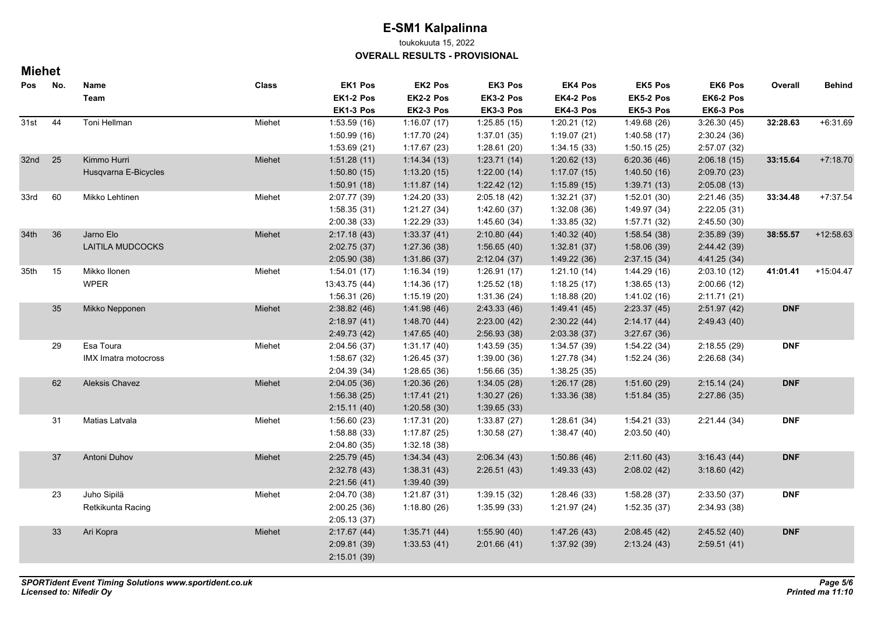toukokuuta 15, 2022

**OVERALL RESULTS - PROVISIONAL**

| Pos              | No. | Name<br>Team                | <b>Class</b> | EK1 Pos<br>EK1-2 Pos | EK2 Pos<br>EK2-2 Pos | EK3 Pos<br>EK3-2 Pos | EK4 Pos<br>EK4-2 Pos | EK5 Pos<br>EK5-2 Pos | EK6 Pos<br>EK6-2 Pos | Overall    | <b>Behind</b> |
|------------------|-----|-----------------------------|--------------|----------------------|----------------------|----------------------|----------------------|----------------------|----------------------|------------|---------------|
|                  |     |                             |              | EK1-3 Pos            | EK2-3 Pos            | EK3-3 Pos            | EK4-3 Pos            | EK5-3 Pos            | EK6-3 Pos            |            |               |
| 31st             | 44  | Toni Hellman                | Miehet       | 1:53.59(16)          | 1:16.07(17)          | 1:25.85(15)          | 1:20.21(12)          | 1:49.68 (26)         | 3:26.30(45)          | 32:28.63   | $+6.31.69$    |
|                  |     |                             |              | 1:50.99(16)          | 1:17.70(24)          | 1:37.01(35)          | 1:19.07(21)          | 1:40.58(17)          | 2:30.24(36)          |            |               |
|                  |     |                             |              | 1:53.69(21)          | 1:17.67(23)          | 1:28.61 (20)         | 1:34.15(33)          | 1:50.15(25)          | 2:57.07(32)          |            |               |
| 32nd             | 25  | Kimmo Hurri                 | Miehet       | 1:51.28(11)          | 1:14.34(13)          | 1:23.71(14)          | 1:20.62(13)          | 6:20.36(46)          | 2:06.18(15)          | 33:15.64   | $+7:18.70$    |
|                  |     | Husqvarna E-Bicycles        |              | 1:50.80(15)          | 1:13.20(15)          | 1:22.00(14)          | 1:17.07(15)          | 1.40.50(16)          | 2:09.70(23)          |            |               |
|                  |     |                             |              | 1:50.91(18)          | 1:11.87(14)          | 1:22.42(12)          | 1:15.89(15)          | 1:39.71(13)          | 2:05.08(13)          |            |               |
| 33rd             | 60  | Mikko Lehtinen              | Miehet       | 2:07.77 (39)         | 1:24.20 (33)         | 2:05.18(42)          | 1:32.21(37)          | 1:52.01(30)          | 2:21.46(35)          | 33:34.48   | $+7:37.54$    |
|                  |     |                             |              | 1:58.35(31)          | 1:21.27(34)          | 1:42.60 (37)         | 1:32.08(36)          | 1:49.97 (34)         | 2:22.05(31)          |            |               |
|                  |     |                             |              | 2:00.38(33)          | 1:22.29(33)          | 1:45.60(34)          | 1:33.85(32)          | 1:57.71 (32)         | 2:45.50(30)          |            |               |
| 34 <sub>th</sub> | 36  | Jarno Elo                   | Miehet       | 2:17.18(43)          | 1:33.37(41)          | 2:10.80(44)          | 1.40.32(40)          | 1:58.54(38)          | 2:35.89(39)          | 38:55.57   | +12:58.63     |
|                  |     | <b>LAITILA MUDCOCKS</b>     |              | 2:02.75(37)          | 1:27.36(38)          | 1:56.65(40)          | 1:32.81(37)          | 1:58.06(39)          | 2:44.42 (39)         |            |               |
|                  |     |                             |              | 2:05.90(38)          | 1:31.86(37)          | 2:12.04(37)          | 1.49.22(36)          | 2:37.15(34)          | 4.41.25 (34)         |            |               |
| 35th             | 15  | Mikko Ilonen                | Miehet       | 1:54.01(17)          | 1:16.34(19)          | 1:26.91(17)          | 1:21.10(14)          | 1.44.29(16)          | 2:03.10(12)          | 41:01.41   | $+15:04.47$   |
|                  |     | <b>WPER</b>                 |              | 13:43.75 (44)        | 1:14.36(17)          | 1:25.52(18)          | 1:18.25(17)          | 1:38.65(13)          | 2:00.66(12)          |            |               |
|                  |     |                             |              | 1:56.31(26)          | 1:15.19(20)          | 1:31.36 (24)         | 1:18.88(20)          | 1:41.02 (16)         | 2:11.71(21)          |            |               |
|                  | 35  | Mikko Nepponen              | Miehet       | 2:38.82(46)          | 1.41.98(46)          | 2:43.33(46)          | 1.49.41(45)          | 2:23.37(45)          | 2:51.97(42)          | <b>DNF</b> |               |
|                  |     |                             |              | 2:18.97(41)          | 1.48.70(44)          | 2:23.00(42)          | 2:30.22(44)          | 2:14.17(44)          | 2.49.43(40)          |            |               |
|                  |     |                             |              | 2.49.73(42)          | 1.47.65(40)          | 2:56.93(38)          | 2:03.38(37)          | 3:27.67(36)          |                      |            |               |
|                  | 29  | Esa Toura                   | Miehet       | 2.04.56(37)          | 1:31.17(40)          | 1:43.59 (35)         | 1:34.57 (39)         | 1.54.22 (34)         | 2:18.55(29)          | <b>DNF</b> |               |
|                  |     | <b>IMX Imatra motocross</b> |              | 1:58.67(32)          | 1:26.45(37)          | 1:39.00(36)          | 1:27.78 (34)         | 1:52.24(36)          | 2:26.68(34)          |            |               |
|                  |     |                             |              | 2:04.39(34)          | 1:28.65 (36)         | 1:56.66(35)          | 1:38.25(35)          |                      |                      |            |               |
|                  | 62  | Aleksis Chavez              | Miehet       | 2:04.05(36)          | 1:20.36(26)          | 1:34.05(28)          | 1:26.17(28)          | 1:51.60(29)          | 2:15.14(24)          | <b>DNF</b> |               |
|                  |     |                             |              | 1:56.38(25)          | 1:17.41(21)          | 1:30.27(26)          | 1:33.36 (38)         | 1:51.84(35)          | 2:27.86(35)          |            |               |
|                  |     |                             |              | 2:15.11(40)          | 1:20.58(30)          | 1:39.65(33)          |                      |                      |                      |            |               |
|                  | 31  | Matias Latvala              | Miehet       | 1:56.60(23)          | 1:17.31(20)          | 1:33.87(27)          | 1:28.61(34)          | 1:54.21(33)          | 2:21.44(34)          | <b>DNF</b> |               |
|                  |     |                             |              | 1:58.88(33)          | 1:17.87(25)          | 1:30.58 (27)         | 1:38.47(40)          | 2:03.50(40)          |                      |            |               |
|                  |     |                             |              | 2:04.80(35)          | 1:32.18(38)          |                      |                      |                      |                      |            |               |
|                  | 37  | Antoni Duhov                | Miehet       | 2:25.79(45)          | 1:34.34(43)          | 2:06.34(43)          | 1:50.86(46)          | 2:11.60(43)          | 3:16.43(44)          | <b>DNF</b> |               |
|                  |     |                             |              | 2:32.78(43)          | 1:38.31(43)          | 2:26.51(43)          | 1.49.33(43)          | 2:08.02(42)          | 3:18.60(42)          |            |               |
|                  |     |                             |              | 2:21.56(41)          | 1:39.40 (39)         |                      |                      |                      |                      |            |               |
|                  | 23  | Juho Sipilä                 | Miehet       | 2:04.70 (38)         | 1:21.87(31)          | 1:39.15(32)          | 1:28.46 (33)         | 1:58.28(37)          | 2:33.50(37)          | <b>DNF</b> |               |
|                  |     | Retkikunta Racing           |              | 2:00.25(36)          | 1:18.80(26)          | 1:35.99(33)          | 1:21.97(24)          | 1:52.35(37)          | 2:34.93 (38)         |            |               |
|                  |     |                             |              | 2:05.13(37)          |                      |                      |                      |                      |                      |            |               |
|                  | 33  | Ari Kopra                   | Miehet       | 2:17.67(44)          | 1:35.71(44)          | 1:55.90(40)          | 1.47.26(43)          | 2:08.45(42)          | 2:45.52(40)          | <b>DNF</b> |               |
|                  |     |                             |              | 2:09.81 (39)         | 1:33.53(41)          | 2:01.66(41)          | 1:37.92 (39)         | 2:13.24(43)          | 2:59.51(41)          |            |               |
|                  |     |                             |              | 2:15.01(39)          |                      |                      |                      |                      |                      |            |               |
|                  |     |                             |              |                      |                      |                      |                      |                      |                      |            |               |